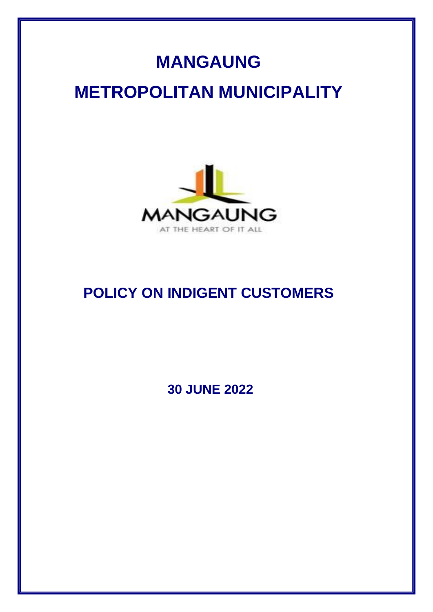## **MANGAUNG**

# **METROPOLITAN MUNICIPALITY**



### **POLICY ON INDIGENT CUSTOMERS**

**30 JUNE 2022**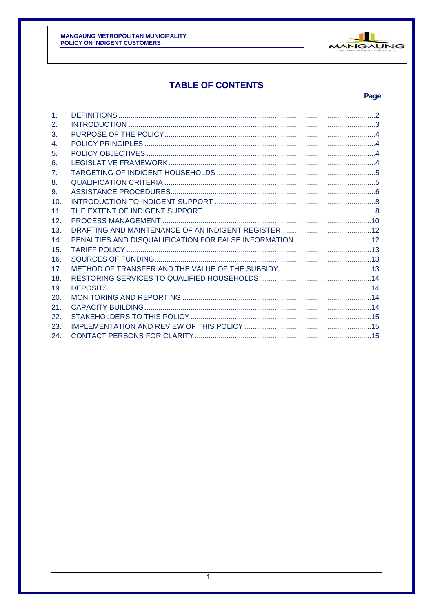

### **TABLE OF CONTENTS**

#### Page

| $\mathbf{1}$ . |  |
|----------------|--|
| 2.             |  |
| 3.             |  |
| 4.             |  |
| 5.             |  |
| 6.             |  |
| 7 <sub>1</sub> |  |
| 8.             |  |
| 9.             |  |
| 10.            |  |
| 11.            |  |
| 12.            |  |
| 13.            |  |
| 14.            |  |
| 15.            |  |
| 16.            |  |
| 17.            |  |
| 18.            |  |
| 19.            |  |
| 20.            |  |
| 21.            |  |
| 22.            |  |
| 23.            |  |
| 24.            |  |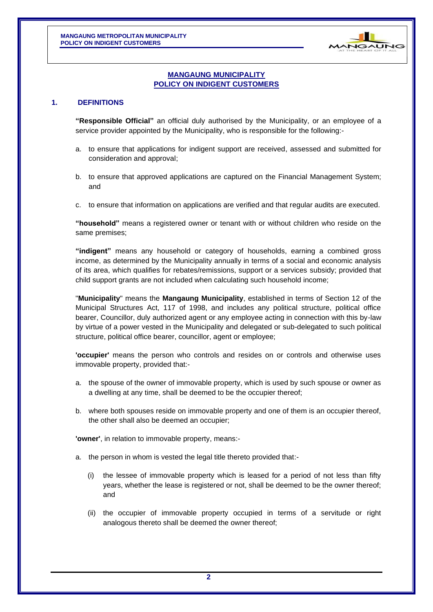

#### **MANGAUNG MUNICIPALITY POLICY ON INDIGENT CUSTOMERS**

#### <span id="page-2-0"></span>**1. DEFINITIONS**

**"Responsible Official"** an official duly authorised by the Municipality, or an employee of a service provider appointed by the Municipality, who is responsible for the following:-

- a. to ensure that applications for indigent support are received, assessed and submitted for consideration and approval;
- b. to ensure that approved applications are captured on the Financial Management System; and
- c. to ensure that information on applications are verified and that regular audits are executed.

**"household"** means a registered owner or tenant with or without children who reside on the same premises;

**"indigent"** means any household or category of households, earning a combined gross income, as determined by the Municipality annually in terms of a social and economic analysis of its area, which qualifies for rebates/remissions, support or a services subsidy; provided that child support grants are not included when calculating such household income;

"**Municipality**" means the **Mangaung Municipality**, established in terms of Section 12 of the Municipal Structures Act, 117 of 1998, and includes any political structure, political office bearer, Councillor, duly authorized agent or any employee acting in connection with this by-law by virtue of a power vested in the Municipality and delegated or sub-delegated to such political structure, political office bearer, councillor, agent or employee;

**'occupier'** means the person who controls and resides on or controls and otherwise uses immovable property, provided that:-

- a. the spouse of the owner of immovable property, which is used by such spouse or owner as a dwelling at any time, shall be deemed to be the occupier thereof;
- b. where both spouses reside on immovable property and one of them is an occupier thereof, the other shall also be deemed an occupier;

**'owner'**, in relation to immovable property, means:-

- a. the person in whom is vested the legal title thereto provided that:-
	- (i) the lessee of immovable property which is leased for a period of not less than fifty years, whether the lease is registered or not, shall be deemed to be the owner thereof; and
	- (ii) the occupier of immovable property occupied in terms of a servitude or right analogous thereto shall be deemed the owner thereof;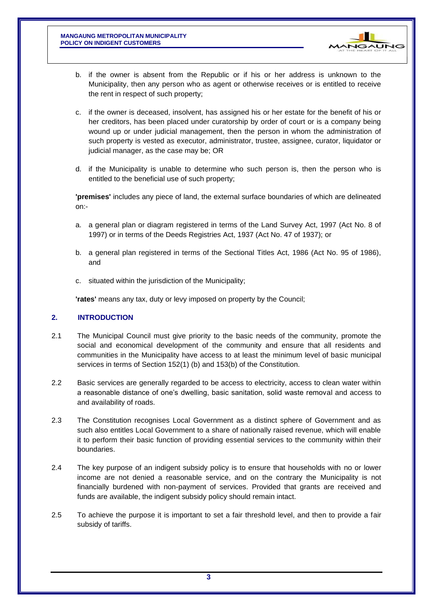

- b. if the owner is absent from the Republic or if his or her address is unknown to the Municipality, then any person who as agent or otherwise receives or is entitled to receive the rent in respect of such property;
- c. if the owner is deceased, insolvent, has assigned his or her estate for the benefit of his or her creditors, has been placed under curatorship by order of court or is a company being wound up or under judicial management, then the person in whom the administration of such property is vested as executor, administrator, trustee, assignee, curator, liquidator or judicial manager, as the case may be; OR
- d. if the Municipality is unable to determine who such person is, then the person who is entitled to the beneficial use of such property;

**'premises'** includes any piece of land, the external surface boundaries of which are delineated on:-

- a. a general plan or diagram registered in terms of the Land Survey Act, 1997 (Act No. 8 of 1997) or in terms of the Deeds Registries Act, 1937 (Act No. 47 of 1937); or
- b. a general plan registered in terms of the Sectional Titles Act, 1986 (Act No. 95 of 1986), and
- c. situated within the jurisdiction of the Municipality;

**'rates'** means any tax, duty or levy imposed on property by the Council;

#### <span id="page-3-0"></span>**2. INTRODUCTION**

- 2.1 The Municipal Council must give priority to the basic needs of the community, promote the social and economical development of the community and ensure that all residents and communities in the Municipality have access to at least the minimum level of basic municipal services in terms of Section 152(1) (b) and 153(b) of the Constitution.
- 2.2 Basic services are generally regarded to be access to electricity, access to clean water within a reasonable distance of one's dwelling, basic sanitation, solid waste removal and access to and availability of roads.
- 2.3 The Constitution recognises Local Government as a distinct sphere of Government and as such also entitles Local Government to a share of nationally raised revenue, which will enable it to perform their basic function of providing essential services to the community within their boundaries.
- 2.4 The key purpose of an indigent subsidy policy is to ensure that households with no or lower income are not denied a reasonable service, and on the contrary the Municipality is not financially burdened with non-payment of services. Provided that grants are received and funds are available, the indigent subsidy policy should remain intact.
- 2.5 To achieve the purpose it is important to set a fair threshold level, and then to provide a fair subsidy of tariffs.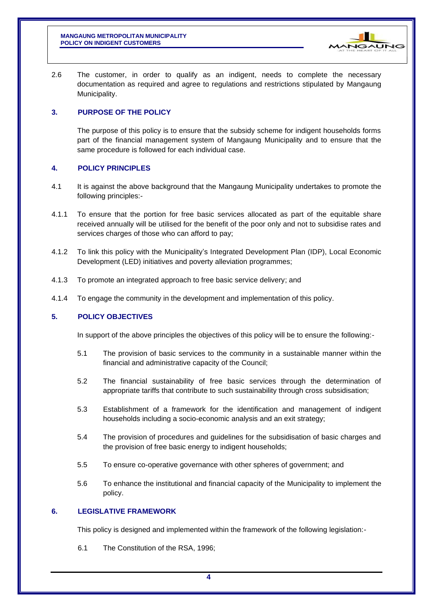

2.6 The customer, in order to qualify as an indigent, needs to complete the necessary documentation as required and agree to regulations and restrictions stipulated by Mangaung Municipality.

#### <span id="page-4-0"></span>**3. PURPOSE OF THE POLICY**

The purpose of this policy is to ensure that the subsidy scheme for indigent households forms part of the financial management system of Mangaung Municipality and to ensure that the same procedure is followed for each individual case.

#### <span id="page-4-1"></span>**4. POLICY PRINCIPLES**

- 4.1 It is against the above background that the Mangaung Municipality undertakes to promote the following principles:-
- 4.1.1 To ensure that the portion for free basic services allocated as part of the equitable share received annually will be utilised for the benefit of the poor only and not to subsidise rates and services charges of those who can afford to pay;
- 4.1.2 To link this policy with the Municipality's Integrated Development Plan (IDP), Local Economic Development (LED) initiatives and poverty alleviation programmes;
- 4.1.3 To promote an integrated approach to free basic service delivery; and
- 4.1.4 To engage the community in the development and implementation of this policy.

#### <span id="page-4-2"></span>**5. POLICY OBJECTIVES**

In support of the above principles the objectives of this policy will be to ensure the following:-

- 5.1 The provision of basic services to the community in a sustainable manner within the financial and administrative capacity of the Council;
- 5.2 The financial sustainability of free basic services through the determination of appropriate tariffs that contribute to such sustainability through cross subsidisation;
- 5.3 Establishment of a framework for the identification and management of indigent households including a socio-economic analysis and an exit strategy;
- 5.4 The provision of procedures and guidelines for the subsidisation of basic charges and the provision of free basic energy to indigent households;
- 5.5 To ensure co-operative governance with other spheres of government; and
- 5.6 To enhance the institutional and financial capacity of the Municipality to implement the policy.

#### <span id="page-4-3"></span>**6. LEGISLATIVE FRAMEWORK**

This policy is designed and implemented within the framework of the following legislation:-

6.1 The Constitution of the RSA, 1996;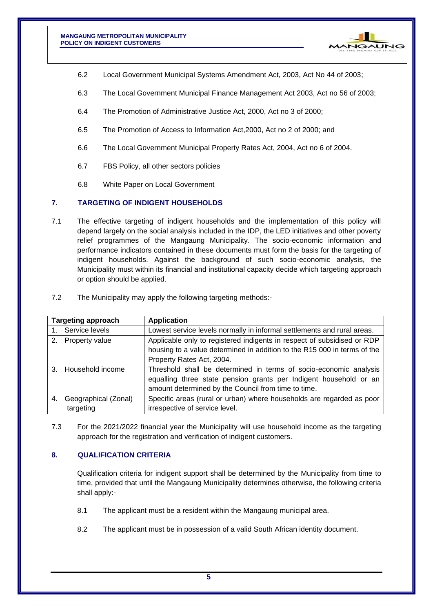

- 6.2 Local Government Municipal Systems Amendment Act, 2003, Act No 44 of 2003;
- 6.3 The Local Government Municipal Finance Management Act 2003, Act no 56 of 2003;
- 6.4 The Promotion of Administrative Justice Act, 2000, Act no 3 of 2000;
- 6.5 The Promotion of Access to Information Act,2000, Act no 2 of 2000; and
- 6.6 The Local Government Municipal Property Rates Act, 2004, Act no 6 of 2004.
- 6.7 FBS Policy, all other sectors policies
- 6.8 White Paper on Local Government

#### <span id="page-5-0"></span>**7. TARGETING OF INDIGENT HOUSEHOLDS**

7.1 The effective targeting of indigent households and the implementation of this policy will depend largely on the social analysis included in the IDP, the LED initiatives and other poverty relief programmes of the Mangaung Municipality. The socio-economic information and performance indicators contained in these documents must form the basis for the targeting of indigent households. Against the background of such socio-economic analysis, the Municipality must within its financial and institutional capacity decide which targeting approach or option should be applied.

| <b>Targeting approach</b> |                      | <b>Application</b>                                                       |  |
|---------------------------|----------------------|--------------------------------------------------------------------------|--|
|                           | 1. Service levels    | Lowest service levels normally in informal settlements and rural areas.  |  |
| 2.                        | Property value       | Applicable only to registered indigents in respect of subsidised or RDP  |  |
|                           |                      | housing to a value determined in addition to the R15 000 in terms of the |  |
|                           |                      | Property Rates Act, 2004.                                                |  |
|                           | 3. Household income  | Threshold shall be determined in terms of socio-economic analysis        |  |
|                           |                      | equalling three state pension grants per Indigent household or an        |  |
|                           |                      | amount determined by the Council from time to time.                      |  |
| 4.                        | Geographical (Zonal) | Specific areas (rural or urban) where households are regarded as poor    |  |
|                           | targeting            | irrespective of service level.                                           |  |

7.2 The Municipality may apply the following targeting methods:-

7.3 For the 2021/2022 financial year the Municipality will use household income as the targeting approach for the registration and verification of indigent customers.

#### <span id="page-5-1"></span>**8. QUALIFICATION CRITERIA**

Qualification criteria for indigent support shall be determined by the Municipality from time to time, provided that until the Mangaung Municipality determines otherwise, the following criteria shall apply:-

- 8.1 The applicant must be a resident within the Mangaung municipal area.
- 8.2 The applicant must be in possession of a valid South African identity document.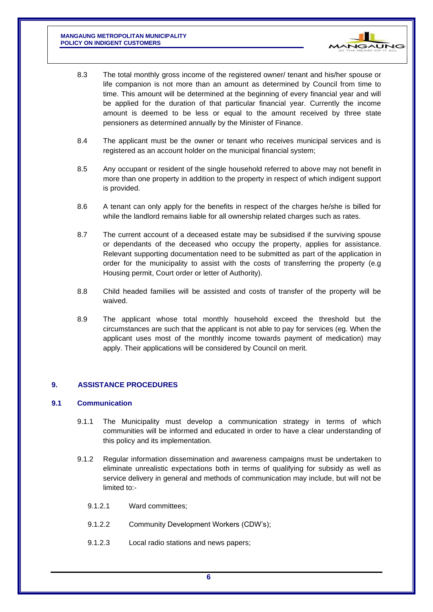**MANGAUNG METROPOLITAN MUNICIPALITY POLICY ON INDIGENT CUSTOMERS**



- 8.3 The total monthly gross income of the registered owner/ tenant and his/her spouse or life companion is not more than an amount as determined by Council from time to time. This amount will be determined at the beginning of every financial year and will be applied for the duration of that particular financial year. Currently the income amount is deemed to be less or equal to the amount received by three state pensioners as determined annually by the Minister of Finance.
- 8.4 The applicant must be the owner or tenant who receives municipal services and is registered as an account holder on the municipal financial system;
- 8.5 Any occupant or resident of the single household referred to above may not benefit in more than one property in addition to the property in respect of which indigent support is provided.
- 8.6 A tenant can only apply for the benefits in respect of the charges he/she is billed for while the landlord remains liable for all ownership related charges such as rates.
- 8.7 The current account of a deceased estate may be subsidised if the surviving spouse or dependants of the deceased who occupy the property, applies for assistance. Relevant supporting documentation need to be submitted as part of the application in order for the municipality to assist with the costs of transferring the property (e.g Housing permit, Court order or letter of Authority).
- 8.8 Child headed families will be assisted and costs of transfer of the property will be waived.
- 8.9 The applicant whose total monthly household exceed the threshold but the circumstances are such that the applicant is not able to pay for services (eg. When the applicant uses most of the monthly income towards payment of medication) may apply. Their applications will be considered by Council on merit.

#### <span id="page-6-0"></span>**9. ASSISTANCE PROCEDURES**

#### **9.1 Communication**

- 9.1.1 The Municipality must develop a communication strategy in terms of which communities will be informed and educated in order to have a clear understanding of this policy and its implementation.
- 9.1.2 Regular information dissemination and awareness campaigns must be undertaken to eliminate unrealistic expectations both in terms of qualifying for subsidy as well as service delivery in general and methods of communication may include, but will not be limited to:-
	- 9.1.2.1 Ward committees;
	- 9.1.2.2 Community Development Workers (CDW's);
	- 9.1.2.3 Local radio stations and news papers;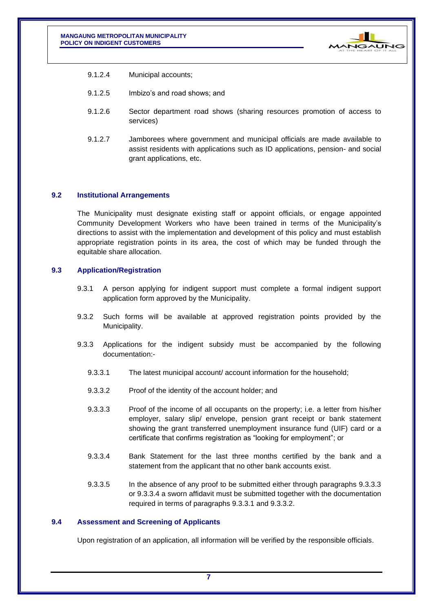

- 9.1.2.4 Municipal accounts;
- 9.1.2.5 Imbizo's and road shows; and
- 9.1.2.6 Sector department road shows (sharing resources promotion of access to services)
- 9.1.2.7 Jamborees where government and municipal officials are made available to assist residents with applications such as ID applications, pension- and social grant applications, etc.

#### **9.2 Institutional Arrangements**

The Municipality must designate existing staff or appoint officials, or engage appointed Community Development Workers who have been trained in terms of the Municipality's directions to assist with the implementation and development of this policy and must establish appropriate registration points in its area, the cost of which may be funded through the equitable share allocation.

#### **9.3 Application/Registration**

- 9.3.1 A person applying for indigent support must complete a formal indigent support application form approved by the Municipality.
- 9.3.2 Such forms will be available at approved registration points provided by the Municipality.
- 9.3.3 Applications for the indigent subsidy must be accompanied by the following documentation:-
	- 9.3.3.1 The latest municipal account/ account information for the household;
	- 9.3.3.2 Proof of the identity of the account holder; and
	- 9.3.3.3 Proof of the income of all occupants on the property; i.e. a letter from his/her employer, salary slip/ envelope, pension grant receipt or bank statement showing the grant transferred unemployment insurance fund (UIF) card or a certificate that confirms registration as "looking for employment"; or
	- 9.3.3.4 Bank Statement for the last three months certified by the bank and a statement from the applicant that no other bank accounts exist.
	- 9.3.3.5 In the absence of any proof to be submitted either through paragraphs 9.3.3.3 or 9.3.3.4 a sworn affidavit must be submitted together with the documentation required in terms of paragraphs 9.3.3.1 and 9.3.3.2.

#### **9.4 Assessment and Screening of Applicants**

Upon registration of an application, all information will be verified by the responsible officials.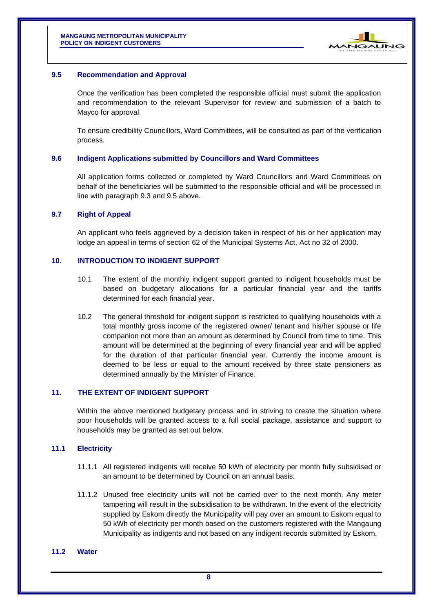

#### **9.5 Recommendation and Approval**

Once the verification has been completed the responsible official must submit the application and recommendation to the relevant Supervisor for review and submission of a batch to Mayco for approval.

To ensure credibility Councillors, Ward Committees, will be consulted as part of the verification process.

#### **9.6 Indigent Applications submitted by Councillors and Ward Committees**

All application forms collected or completed by Ward Councillors and Ward Committees on behalf of the beneficiaries will be submitted to the responsible official and will be processed in line with paragraph 9.3 and 9.5 above.

#### **9.7 Right of Appeal**

An applicant who feels aggrieved by a decision taken in respect of his or her application may lodge an appeal in terms of section 62 of the Municipal Systems Act, Act no 32 of 2000.

#### <span id="page-8-0"></span>**10. INTRODUCTION TO INDIGENT SUPPORT**

- 10.1 The extent of the monthly indigent support granted to indigent households must be based on budgetary allocations for a particular financial year and the tariffs determined for each financial year.
- 10.2 The general threshold for indigent support is restricted to qualifying households with a total monthly gross income of the registered owner/ tenant and his/her spouse or life companion not more than an amount as determined by Council from time to time. This amount will be determined at the beginning of every financial year and will be applied for the duration of that particular financial year. Currently the income amount is deemed to be less or equal to the amount received by three state pensioners as determined annually by the Minister of Finance.

#### <span id="page-8-1"></span>**11. THE EXTENT OF INDIGENT SUPPORT**

Within the above mentioned budgetary process and in striving to create the situation where poor households will be granted access to a full social package, assistance and support to households may be granted as set out below.

#### **11.1 Electricity**

- 11.1.1 All registered indigents will receive 50 kWh of electricity per month fully subsidised or an amount to be determined by Council on an annual basis.
- 11.1.2 Unused free electricity units will not be carried over to the next month. Any meter tampering will result in the subsidisation to be withdrawn. In the event of the electricity supplied by Eskom directly the Municipality will pay over an amount to Eskom equal to 50 kWh of electricity per month based on the customers registered with the Mangaung Municipality as indigents and not based on any indigent records submitted by Eskom.

#### **11.2 Water**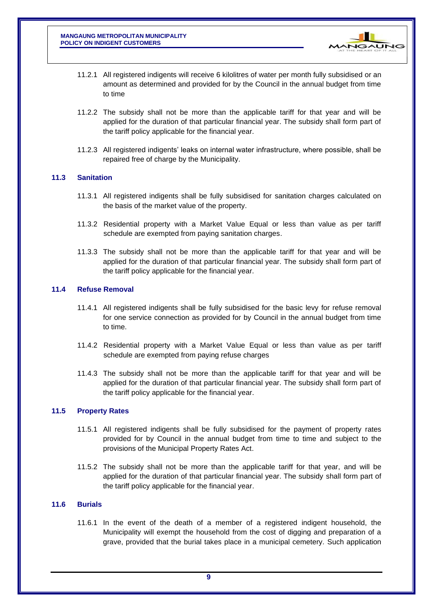

- 11.2.1 All registered indigents will receive 6 kilolitres of water per month fully subsidised or an amount as determined and provided for by the Council in the annual budget from time to time
- 11.2.2 The subsidy shall not be more than the applicable tariff for that year and will be applied for the duration of that particular financial year. The subsidy shall form part of the tariff policy applicable for the financial year.
- 11.2.3 All registered indigents' leaks on internal water infrastructure, where possible, shall be repaired free of charge by the Municipality.

#### **11.3 Sanitation**

- 11.3.1 All registered indigents shall be fully subsidised for sanitation charges calculated on the basis of the market value of the property.
- 11.3.2 Residential property with a Market Value Equal or less than value as per tariff schedule are exempted from paying sanitation charges.
- 11.3.3 The subsidy shall not be more than the applicable tariff for that year and will be applied for the duration of that particular financial year. The subsidy shall form part of the tariff policy applicable for the financial year.

#### **11.4 Refuse Removal**

- 11.4.1 All registered indigents shall be fully subsidised for the basic levy for refuse removal for one service connection as provided for by Council in the annual budget from time to time.
- 11.4.2 Residential property with a Market Value Equal or less than value as per tariff schedule are exempted from paying refuse charges
- 11.4.3 The subsidy shall not be more than the applicable tariff for that year and will be applied for the duration of that particular financial year. The subsidy shall form part of the tariff policy applicable for the financial year.

#### **11.5 Property Rates**

- 11.5.1 All registered indigents shall be fully subsidised for the payment of property rates provided for by Council in the annual budget from time to time and subject to the provisions of the Municipal Property Rates Act.
- 11.5.2 The subsidy shall not be more than the applicable tariff for that year, and will be applied for the duration of that particular financial year. The subsidy shall form part of the tariff policy applicable for the financial year.

#### **11.6 Burials**

11.6.1 In the event of the death of a member of a registered indigent household, the Municipality will exempt the household from the cost of digging and preparation of a grave, provided that the burial takes place in a municipal cemetery. Such application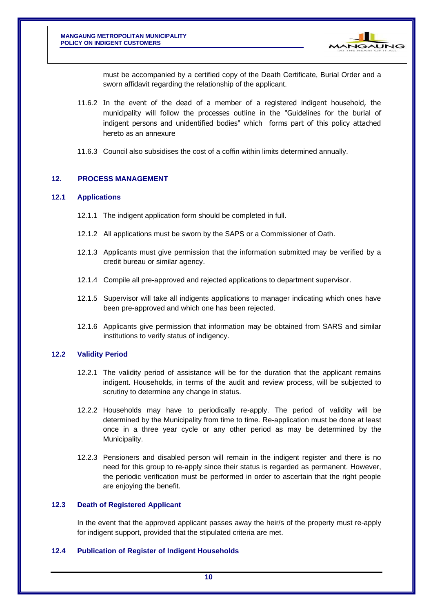

must be accompanied by a certified copy of the Death Certificate, Burial Order and a sworn affidavit regarding the relationship of the applicant.

- 11.6.2 In the event of the dead of a member of a registered indigent household, the municipality will follow the processes outline in the "Guidelines for the burial of indigent persons and unidentified bodies" which forms part of this policy attached hereto as an annexure
- 11.6.3 Council also subsidises the cost of a coffin within limits determined annually.

#### <span id="page-10-0"></span>**12. PROCESS MANAGEMENT**

#### **12.1 Applications**

- 12.1.1 The indigent application form should be completed in full.
- 12.1.2 All applications must be sworn by the SAPS or a Commissioner of Oath.
- 12.1.3 Applicants must give permission that the information submitted may be verified by a credit bureau or similar agency.
- 12.1.4 Compile all pre-approved and rejected applications to department supervisor.
- 12.1.5 Supervisor will take all indigents applications to manager indicating which ones have been pre-approved and which one has been rejected.
- 12.1.6 Applicants give permission that information may be obtained from SARS and similar institutions to verify status of indigency.

#### **12.2 Validity Period**

- 12.2.1 The validity period of assistance will be for the duration that the applicant remains indigent. Households, in terms of the audit and review process, will be subjected to scrutiny to determine any change in status.
- 12.2.2 Households may have to periodically re-apply. The period of validity will be determined by the Municipality from time to time. Re-application must be done at least once in a three year cycle or any other period as may be determined by the Municipality.
- 12.2.3 Pensioners and disabled person will remain in the indigent register and there is no need for this group to re-apply since their status is regarded as permanent. However, the periodic verification must be performed in order to ascertain that the right people are enjoying the benefit.

#### **12.3 Death of Registered Applicant**

In the event that the approved applicant passes away the heir/s of the property must re-apply for indigent support, provided that the stipulated criteria are met.

#### **12.4 Publication of Register of Indigent Households**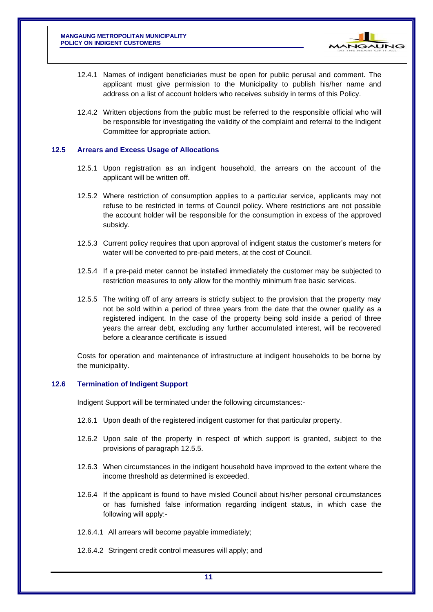

- 12.4.1 Names of indigent beneficiaries must be open for public perusal and comment. The applicant must give permission to the Municipality to publish his/her name and address on a list of account holders who receives subsidy in terms of this Policy.
- 12.4.2 Written objections from the public must be referred to the responsible official who will be responsible for investigating the validity of the complaint and referral to the Indigent Committee for appropriate action.

#### **12.5 Arrears and Excess Usage of Allocations**

- 12.5.1 Upon registration as an indigent household, the arrears on the account of the applicant will be written off.
- 12.5.2 Where restriction of consumption applies to a particular service, applicants may not refuse to be restricted in terms of Council policy. Where restrictions are not possible the account holder will be responsible for the consumption in excess of the approved subsidy.
- 12.5.3 Current policy requires that upon approval of indigent status the customer's meters for water will be converted to pre-paid meters, at the cost of Council.
- 12.5.4 If a pre-paid meter cannot be installed immediately the customer may be subjected to restriction measures to only allow for the monthly minimum free basic services.
- 12.5.5 The writing off of any arrears is strictly subject to the provision that the property may not be sold within a period of three years from the date that the owner qualify as a registered indigent. In the case of the property being sold inside a period of three years the arrear debt, excluding any further accumulated interest, will be recovered before a clearance certificate is issued

Costs for operation and maintenance of infrastructure at indigent households to be borne by the municipality.

#### **12.6 Termination of Indigent Support**

Indigent Support will be terminated under the following circumstances:-

- 12.6.1 Upon death of the registered indigent customer for that particular property.
- 12.6.2 Upon sale of the property in respect of which support is granted, subject to the provisions of paragraph 12.5.5.
- 12.6.3 When circumstances in the indigent household have improved to the extent where the income threshold as determined is exceeded.
- 12.6.4 If the applicant is found to have misled Council about his/her personal circumstances or has furnished false information regarding indigent status, in which case the following will apply:-
- 12.6.4.1 All arrears will become payable immediately;
- 12.6.4.2 Stringent credit control measures will apply; and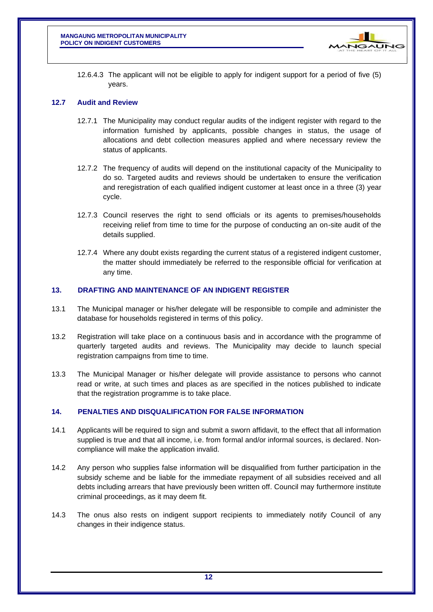

12.6.4.3 The applicant will not be eligible to apply for indigent support for a period of five (5) years.

#### **12.7 Audit and Review**

- 12.7.1 The Municipality may conduct regular audits of the indigent register with regard to the information furnished by applicants, possible changes in status, the usage of allocations and debt collection measures applied and where necessary review the status of applicants.
- 12.7.2 The frequency of audits will depend on the institutional capacity of the Municipality to do so. Targeted audits and reviews should be undertaken to ensure the verification and reregistration of each qualified indigent customer at least once in a three (3) year cycle.
- 12.7.3 Council reserves the right to send officials or its agents to premises/households receiving relief from time to time for the purpose of conducting an on-site audit of the details supplied.
- 12.7.4 Where any doubt exists regarding the current status of a registered indigent customer, the matter should immediately be referred to the responsible official for verification at any time.

#### <span id="page-12-0"></span>**13. DRAFTING AND MAINTENANCE OF AN INDIGENT REGISTER**

- 13.1 The Municipal manager or his/her delegate will be responsible to compile and administer the database for households registered in terms of this policy.
- 13.2 Registration will take place on a continuous basis and in accordance with the programme of quarterly targeted audits and reviews. The Municipality may decide to launch special registration campaigns from time to time.
- 13.3 The Municipal Manager or his/her delegate will provide assistance to persons who cannot read or write, at such times and places as are specified in the notices published to indicate that the registration programme is to take place.

#### <span id="page-12-1"></span>**14. PENALTIES AND DISQUALIFICATION FOR FALSE INFORMATION**

- 14.1 Applicants will be required to sign and submit a sworn affidavit, to the effect that all information supplied is true and that all income, i.e. from formal and/or informal sources, is declared. Noncompliance will make the application invalid.
- 14.2 Any person who supplies false information will be disqualified from further participation in the subsidy scheme and be liable for the immediate repayment of all subsidies received and all debts including arrears that have previously been written off. Council may furthermore institute criminal proceedings, as it may deem fit.
- 14.3 The onus also rests on indigent support recipients to immediately notify Council of any changes in their indigence status.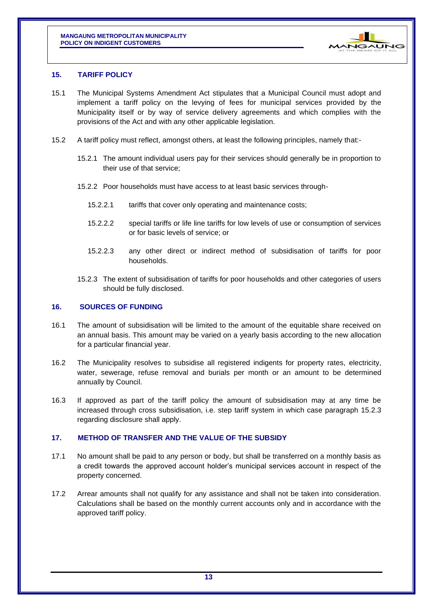

#### <span id="page-13-0"></span>**15. TARIFF POLICY**

- 15.1 The Municipal Systems Amendment Act stipulates that a Municipal Council must adopt and implement a tariff policy on the levying of fees for municipal services provided by the Municipality itself or by way of service delivery agreements and which complies with the provisions of the Act and with any other applicable legislation.
- 15.2 A tariff policy must reflect, amongst others, at least the following principles, namely that:-
	- 15.2.1 The amount individual users pay for their services should generally be in proportion to their use of that service;
	- 15.2.2 Poor households must have access to at least basic services through-
		- 15.2.2.1 tariffs that cover only operating and maintenance costs;
		- 15.2.2.2 special tariffs or life line tariffs for low levels of use or consumption of services or for basic levels of service; or
		- 15.2.2.3 any other direct or indirect method of subsidisation of tariffs for poor households.
	- 15.2.3 The extent of subsidisation of tariffs for poor households and other categories of users should be fully disclosed.

#### <span id="page-13-1"></span>**16. SOURCES OF FUNDING**

- 16.1 The amount of subsidisation will be limited to the amount of the equitable share received on an annual basis. This amount may be varied on a yearly basis according to the new allocation for a particular financial year.
- 16.2 The Municipality resolves to subsidise all registered indigents for property rates, electricity, water, sewerage, refuse removal and burials per month or an amount to be determined annually by Council.
- 16.3 If approved as part of the tariff policy the amount of subsidisation may at any time be increased through cross subsidisation, i.e. step tariff system in which case paragraph 15.2.3 regarding disclosure shall apply.

#### <span id="page-13-2"></span>**17. METHOD OF TRANSFER AND THE VALUE OF THE SUBSIDY**

- 17.1 No amount shall be paid to any person or body, but shall be transferred on a monthly basis as a credit towards the approved account holder's municipal services account in respect of the property concerned.
- 17.2 Arrear amounts shall not qualify for any assistance and shall not be taken into consideration. Calculations shall be based on the monthly current accounts only and in accordance with the approved tariff policy.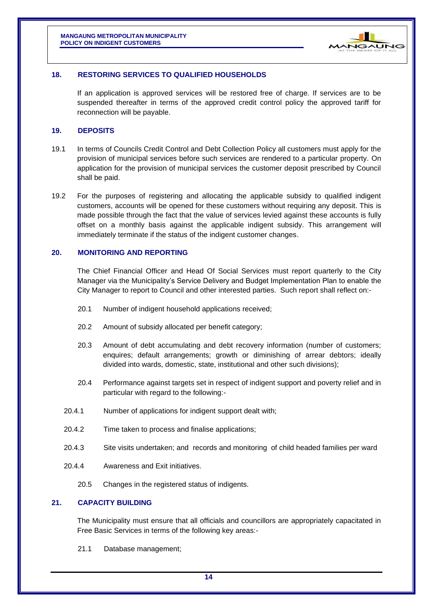

#### <span id="page-14-0"></span>**18. RESTORING SERVICES TO QUALIFIED HOUSEHOLDS**

If an application is approved services will be restored free of charge. If services are to be suspended thereafter in terms of the approved credit control policy the approved tariff for reconnection will be payable.

#### <span id="page-14-1"></span>**19. DEPOSITS**

- 19.1 In terms of Councils Credit Control and Debt Collection Policy all customers must apply for the provision of municipal services before such services are rendered to a particular property. On application for the provision of municipal services the customer deposit prescribed by Council shall be paid.
- 19.2 For the purposes of registering and allocating the applicable subsidy to qualified indigent customers, accounts will be opened for these customers without requiring any deposit. This is made possible through the fact that the value of services levied against these accounts is fully offset on a monthly basis against the applicable indigent subsidy. This arrangement will immediately terminate if the status of the indigent customer changes.

#### <span id="page-14-2"></span>**20. MONITORING AND REPORTING**

The Chief Financial Officer and Head Of Social Services must report quarterly to the City Manager via the Municipality's Service Delivery and Budget Implementation Plan to enable the City Manager to report to Council and other interested parties. Such report shall reflect on:-

- 20.1 Number of indigent household applications received;
- 20.2 Amount of subsidy allocated per benefit category;
- 20.3 Amount of debt accumulating and debt recovery information (number of customers; enquires; default arrangements; growth or diminishing of arrear debtors; ideally divided into wards, domestic, state, institutional and other such divisions);
- 20.4 Performance against targets set in respect of indigent support and poverty relief and in particular with regard to the following:-
- 20.4.1 Number of applications for indigent support dealt with;
- 20.4.2 Time taken to process and finalise applications;
- 20.4.3 Site visits undertaken; and records and monitoring of child headed families per ward
- 20.4.4 Awareness and Exit initiatives.
	- 20.5 Changes in the registered status of indigents.

#### <span id="page-14-3"></span>**21. CAPACITY BUILDING**

The Municipality must ensure that all officials and councillors are appropriately capacitated in Free Basic Services in terms of the following key areas:-

21.1 Database management;